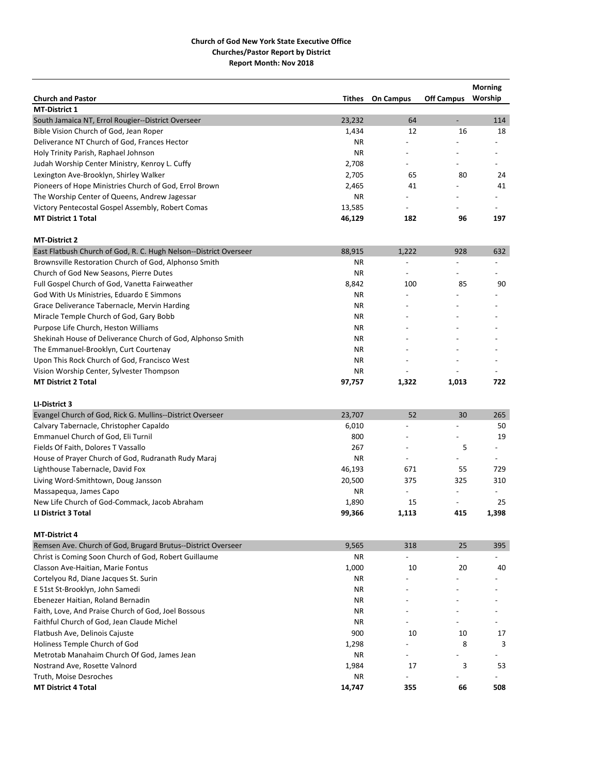|                                                                            |               |                          |                          | <b>Morning</b>           |
|----------------------------------------------------------------------------|---------------|--------------------------|--------------------------|--------------------------|
| <b>Church and Pastor</b>                                                   | <b>Tithes</b> | <b>On Campus</b>         | <b>Off Campus</b>        | Worship                  |
| <b>MT-District 1</b>                                                       |               |                          |                          |                          |
| South Jamaica NT, Errol Rougier--District Overseer                         | 23,232        | 64                       | $\overline{\phantom{a}}$ | 114                      |
| Bible Vision Church of God, Jean Roper                                     | 1,434         | 12                       | 16                       | 18                       |
| Deliverance NT Church of God, Frances Hector                               | ΝR            |                          |                          |                          |
| Holy Trinity Parish, Raphael Johnson                                       | ΝR            |                          |                          |                          |
| Judah Worship Center Ministry, Kenroy L. Cuffy                             | 2,708         |                          |                          |                          |
| Lexington Ave-Brooklyn, Shirley Walker                                     | 2,705         | 65                       | 80                       | 24                       |
| Pioneers of Hope Ministries Church of God, Errol Brown                     | 2,465         | 41                       |                          | 41                       |
| The Worship Center of Queens, Andrew Jagessar                              | ΝR            |                          |                          |                          |
| Victory Pentecostal Gospel Assembly, Robert Comas                          | 13,585        | $\overline{\phantom{a}}$ |                          |                          |
| <b>MT District 1 Total</b>                                                 | 46,129        | 182                      | 96                       | 197                      |
| <b>MT-District 2</b>                                                       |               |                          |                          |                          |
| East Flatbush Church of God, R. C. Hugh Nelson--District Overseer          | 88,915        | 1,222                    | 928                      | 632                      |
| Brownsville Restoration Church of God, Alphonso Smith                      | ΝR            |                          |                          |                          |
| Church of God New Seasons, Pierre Dutes                                    | <b>NR</b>     |                          |                          |                          |
| Full Gospel Church of God, Vanetta Fairweather                             | 8,842         | 100                      | 85                       | 90                       |
| God With Us Ministries, Eduardo E Simmons                                  | ΝR            |                          |                          |                          |
| Grace Deliverance Tabernacle, Mervin Harding                               | ΝR            |                          |                          |                          |
| Miracle Temple Church of God, Gary Bobb                                    | ΝR            |                          |                          |                          |
| Purpose Life Church, Heston Williams                                       | ΝR            |                          |                          |                          |
| Shekinah House of Deliverance Church of God, Alphonso Smith                | ΝR            |                          |                          |                          |
| The Emmanuel-Brooklyn, Curt Courtenay                                      | ΝR            |                          |                          |                          |
| Upon This Rock Church of God, Francisco West                               | <b>NR</b>     |                          |                          |                          |
| Vision Worship Center, Sylvester Thompson                                  | ΝR            |                          |                          |                          |
| <b>MT District 2 Total</b>                                                 | 97,757        | 1,322                    | 1,013                    | 722                      |
|                                                                            |               |                          |                          |                          |
| LI-District 3<br>Evangel Church of God, Rick G. Mullins--District Overseer | 23,707        | 52                       | 30                       | 265                      |
|                                                                            |               |                          |                          | 50                       |
| Calvary Tabernacle, Christopher Capaldo                                    | 6,010<br>800  |                          |                          | 19                       |
| Emmanuel Church of God, Eli Turnil                                         |               |                          |                          |                          |
| Fields Of Faith, Dolores T Vassallo                                        | 267           |                          | 5                        |                          |
| House of Prayer Church of God, Rudranath Rudy Maraj                        | <b>NR</b>     |                          |                          |                          |
| Lighthouse Tabernacle, David Fox                                           | 46,193        | 671                      | 55                       | 729                      |
| Living Word-Smithtown, Doug Jansson                                        | 20,500        | 375                      | 325                      | 310                      |
| Massapequa, James Capo                                                     | ΝR            | $\overline{\phantom{a}}$ | $\overline{\phantom{a}}$ | $\overline{\phantom{a}}$ |
| New Life Church of God-Commack, Jacob Abraham                              | 1,890         | 15                       |                          | 25                       |
| LI District 3 Total                                                        | 99,366        | 1,113                    | 415                      | 1,398                    |
| <b>MT-District 4</b>                                                       |               |                          |                          |                          |
| Remsen Ave. Church of God, Brugard Brutus--District Overseer               | 9,565         | 318                      | 25                       | 395                      |
| Christ is Coming Soon Church of God, Robert Guillaume                      | ΝR            | $\overline{\phantom{0}}$ |                          |                          |
| Classon Ave-Haitian, Marie Fontus                                          | 1,000         | 10                       | 20                       | 40                       |
| Cortelyou Rd, Diane Jacques St. Surin                                      | ΝR            |                          |                          |                          |
| E 51st St-Brooklyn, John Samedi                                            | ΝR            |                          |                          |                          |
| Ebenezer Haitian, Roland Bernadin                                          | ΝR            |                          |                          |                          |
| Faith, Love, And Praise Church of God, Joel Bossous                        | ΝR            |                          |                          |                          |
| Faithful Church of God, Jean Claude Michel                                 | ΝR            |                          |                          |                          |
| Flatbush Ave, Delinois Cajuste                                             | 900           | 10                       | 10                       | 17                       |
| Holiness Temple Church of God                                              | 1,298         |                          | 8                        | 3                        |
| Metrotab Manahaim Church Of God, James Jean                                | ΝR            |                          |                          |                          |
| Nostrand Ave, Rosette Valnord                                              | 1,984         | 17                       | 3                        | 53                       |
| Truth, Moise Desroches                                                     | ΝR            | $\overline{a}$           |                          |                          |
| <b>MT District 4 Total</b>                                                 | 14,747        | 355                      | 66                       | 508                      |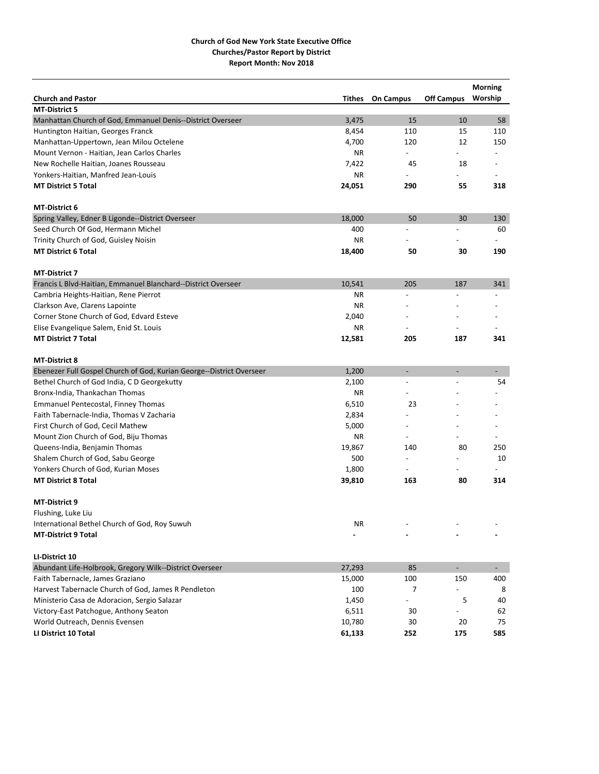|                                                                      |               |                          |                   | <b>Morning</b> |
|----------------------------------------------------------------------|---------------|--------------------------|-------------------|----------------|
| <b>Church and Pastor</b>                                             | <b>Tithes</b> | <b>On Campus</b>         | <b>Off Campus</b> | Worship        |
| <b>MT-District 5</b>                                                 |               |                          |                   |                |
| Manhattan Church of God, Emmanuel Denis--District Overseer           | 3,475         | 15                       | 10                | 58             |
| Huntington Haitian, Georges Franck                                   | 8,454         | 110                      | 15                | 110            |
| Manhattan-Uppertown, Jean Milou Octelene                             | 4,700         | 120                      | 12                | 150            |
| Mount Vernon - Haitian, Jean Carlos Charles                          | NR.           | $\overline{\phantom{0}}$ |                   |                |
| New Rochelle Haitian, Joanes Rousseau                                | 7,422         | 45                       | 18                |                |
| Yonkers-Haitian, Manfred Jean-Louis                                  | <b>NR</b>     |                          |                   |                |
| <b>MT District 5 Total</b>                                           | 24,051        | 290                      | 55                | 318            |
| MT-District 6                                                        |               |                          |                   |                |
| Spring Valley, Edner B Ligonde--District Overseer                    | 18,000        | 50                       | 30                | 130            |
| Seed Church Of God, Hermann Michel                                   | 400           |                          |                   | 60             |
| Trinity Church of God, Guisley Noisin                                | <b>NR</b>     |                          |                   |                |
| <b>MT District 6 Total</b>                                           | 18,400        | 50                       | 30                | 190            |
| <b>MT-District 7</b>                                                 |               |                          |                   |                |
| Francis L Blvd-Haitian, Emmanuel Blanchard--District Overseer        | 10,541        | 205                      | 187               | 341            |
| Cambria Heights-Haitian, Rene Pierrot                                | <b>NR</b>     | $\overline{a}$           |                   | $\overline{a}$ |
| Clarkson Ave, Clarens Lapointe                                       | <b>NR</b>     |                          |                   |                |
| Corner Stone Church of God, Edvard Esteve                            | 2,040         |                          |                   |                |
| Elise Evangelique Salem, Enid St. Louis                              | <b>NR</b>     |                          |                   |                |
| <b>MT District 7 Total</b>                                           | 12,581        | 205                      | 187               | 341            |
| <b>MT-District 8</b>                                                 |               |                          |                   |                |
| Ebenezer Full Gospel Church of God, Kurian George--District Overseer | 1,200         | ÷                        | $\overline{a}$    | $\sim$         |
| Bethel Church of God India, C D Georgekutty                          | 2,100         | $\overline{\phantom{a}}$ |                   | 54             |
| Bronx-India, Thankachan Thomas                                       | ΝR            |                          |                   |                |
| Emmanuel Pentecostal, Finney Thomas                                  | 6,510         | 23                       |                   |                |
| Faith Tabernacle-India, Thomas V Zacharia                            | 2,834         |                          |                   |                |
| First Church of God, Cecil Mathew                                    | 5,000         |                          |                   |                |
| Mount Zion Church of God, Biju Thomas                                | <b>NR</b>     |                          |                   |                |
| Queens-India, Benjamin Thomas                                        | 19,867        | 140                      | 80                | 250            |
| Shalem Church of God, Sabu George                                    | 500           | $\overline{\phantom{a}}$ |                   | 10             |
| Yonkers Church of God, Kurian Moses                                  | 1,800         | $\overline{\phantom{a}}$ |                   |                |
| <b>MT District 8 Total</b>                                           | 39,810        | 163                      | 80                | 314            |
| <b>MT-District 9</b>                                                 |               |                          |                   |                |
| Flushing, Luke Liu                                                   |               |                          |                   |                |
| International Bethel Church of God, Roy Suwuh                        | NR.           |                          |                   |                |
| <b>MT-District 9 Total</b>                                           |               |                          |                   |                |
| LI-District 10                                                       |               |                          |                   |                |
| Abundant Life-Holbrook, Gregory Wilk--District Overseer              | 27,293        | 85                       | $\blacksquare$    | $\sim$         |
| Faith Tabernacle, James Graziano                                     | 15,000        | 100                      | 150               | 400            |
| Harvest Tabernacle Church of God, James R Pendleton                  | 100           | 7                        |                   | 8              |
| Ministerio Casa de Adoracion, Sergio Salazar                         | 1,450         | $\overline{a}$           | 5                 | 40             |
| Victory-East Patchogue, Anthony Seaton                               | 6,511         | 30                       |                   | 62             |
| World Outreach, Dennis Evensen                                       | 10,780        | 30                       | 20                | 75             |
| LI District 10 Total                                                 | 61,133        | 252                      | 175               | 585            |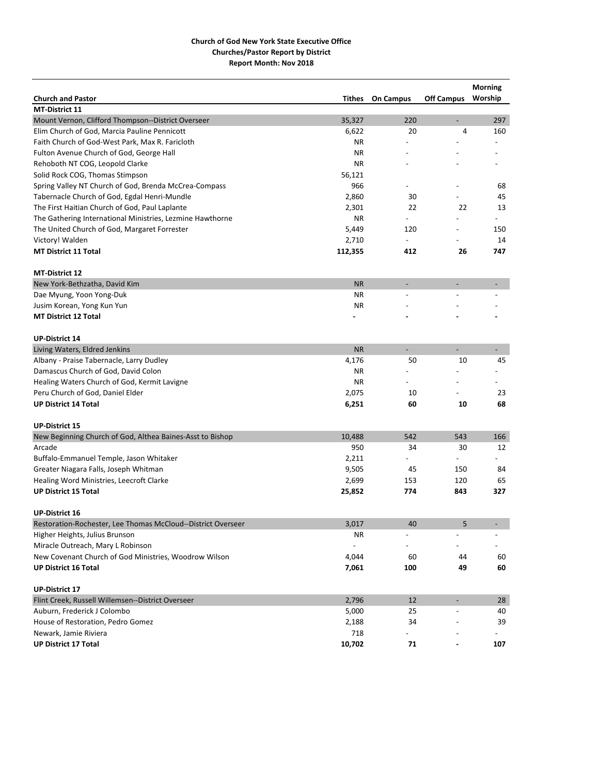| <b>Church and Pastor</b>                                     | Tithes                   | <b>On Campus</b>         | <b>Off Campus</b>        | <b>Morning</b><br>Worship |
|--------------------------------------------------------------|--------------------------|--------------------------|--------------------------|---------------------------|
| MT-District 11                                               |                          |                          |                          |                           |
| Mount Vernon, Clifford Thompson--District Overseer           | 35,327                   | 220                      | $\overline{\phantom{a}}$ | 297                       |
| Elim Church of God, Marcia Pauline Pennicott                 | 6,622                    | 20                       | 4                        | 160                       |
| Faith Church of God-West Park, Max R. Faricloth              | ΝR                       |                          |                          |                           |
| Fulton Avenue Church of God, George Hall                     | ΝR                       |                          |                          |                           |
| Rehoboth NT COG, Leopold Clarke                              | ΝR                       |                          |                          |                           |
| Solid Rock COG, Thomas Stimpson                              | 56,121                   |                          |                          |                           |
| Spring Valley NT Church of God, Brenda McCrea-Compass        | 966                      |                          |                          | 68                        |
| Tabernacle Church of God, Egdal Henri-Mundle                 | 2,860                    | 30                       |                          | 45                        |
| The First Haitian Church of God, Paul Laplante               | 2,301                    | 22                       | 22                       | 13                        |
| The Gathering International Ministries, Lezmine Hawthorne    | ΝR                       | $\overline{\phantom{0}}$ |                          |                           |
| The United Church of God, Margaret Forrester                 | 5,449                    | 120                      | $\overline{\phantom{a}}$ | 150                       |
| Victory! Walden                                              | 2,710                    |                          |                          | 14                        |
| <b>MT District 11 Total</b>                                  | 112,355                  | 412                      | 26                       | 747                       |
| <b>MT-District 12</b>                                        |                          |                          |                          |                           |
| New York-Bethzatha, David Kim                                | <b>NR</b>                | $\overline{\phantom{a}}$ | $\overline{a}$           |                           |
| Dae Myung, Yoon Yong-Duk                                     | ΝR                       |                          |                          |                           |
| Jusim Korean, Yong Kun Yun                                   | ΝR                       |                          |                          |                           |
| <b>MT District 12 Total</b>                                  |                          |                          |                          |                           |
| <b>UP-District 14</b>                                        |                          |                          |                          |                           |
| Living Waters, Eldred Jenkins                                | <b>NR</b>                | $\overline{\phantom{a}}$ | ÷,                       | $\overline{\phantom{a}}$  |
| Albany - Praise Tabernacle, Larry Dudley                     | 4,176                    | 50                       | 10                       | 45                        |
| Damascus Church of God, David Colon                          | ΝR                       |                          |                          |                           |
| Healing Waters Church of God, Kermit Lavigne                 | ΝR                       |                          |                          |                           |
| Peru Church of God, Daniel Elder                             | 2,075                    | 10                       |                          | 23                        |
| <b>UP District 14 Total</b>                                  | 6,251                    | 60                       | 10                       | 68                        |
| <b>UP-District 15</b>                                        |                          |                          |                          |                           |
| New Beginning Church of God, Althea Baines-Asst to Bishop    | 10,488                   | 542                      | 543                      | 166                       |
| Arcade                                                       | 950                      | 34                       | 30                       | 12                        |
| Buffalo-Emmanuel Temple, Jason Whitaker                      | 2,211                    | $\overline{a}$           | $\overline{\phantom{a}}$ |                           |
| Greater Niagara Falls, Joseph Whitman                        | 9,505                    | 45                       | 150                      | 84                        |
| Healing Word Ministries, Leecroft Clarke                     | 2,699                    | 153                      | 120                      | 65                        |
| <b>UP District 15 Total</b>                                  | 25,852                   | 774                      | 843                      | 327                       |
| <b>UP-District 16</b>                                        |                          |                          |                          |                           |
| Restoration-Rochester, Lee Thomas McCloud--District Overseer | 3,017                    | 40                       | 5                        |                           |
| Higher Heights, Julius Brunson                               | ΝR                       |                          |                          |                           |
| Miracle Outreach, Mary L Robinson                            | $\overline{\phantom{a}}$ |                          |                          |                           |
| New Covenant Church of God Ministries, Woodrow Wilson        | 4,044                    | 60                       | 44                       | 60                        |
| <b>UP District 16 Total</b>                                  | 7,061                    | 100                      | 49                       | 60                        |
| <b>UP-District 17</b>                                        |                          |                          |                          |                           |
| Flint Creek, Russell Willemsen--District Overseer            | 2,796                    | 12                       | $\overline{\phantom{a}}$ | 28                        |
| Auburn, Frederick J Colombo                                  | 5,000                    | 25                       |                          | 40                        |
| House of Restoration, Pedro Gomez                            | 2,188                    | 34                       |                          | 39                        |
| Newark, Jamie Riviera                                        | 718                      |                          |                          |                           |
| <b>UP District 17 Total</b>                                  | 10,702                   | 71                       |                          | 107                       |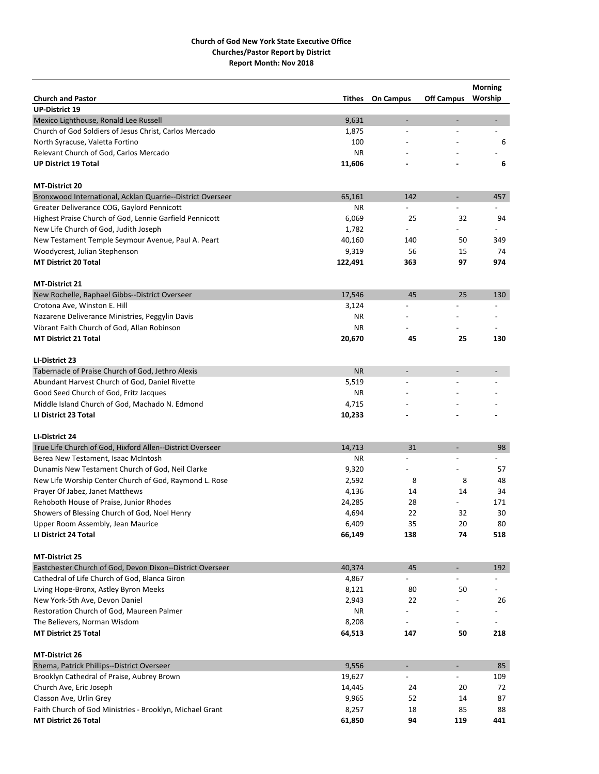|                                                            |               |                          |                          | <b>Morning</b>           |
|------------------------------------------------------------|---------------|--------------------------|--------------------------|--------------------------|
| <b>Church and Pastor</b>                                   | <b>Tithes</b> | <b>On Campus</b>         | <b>Off Campus</b>        | Worship                  |
| <b>UP-District 19</b>                                      |               |                          |                          |                          |
| Mexico Lighthouse, Ronald Lee Russell                      | 9,631         | $\overline{\phantom{0}}$ | $\overline{\phantom{a}}$ | $\overline{\phantom{0}}$ |
| Church of God Soldiers of Jesus Christ, Carlos Mercado     | 1,875         |                          |                          | $\overline{\phantom{0}}$ |
| North Syracuse, Valetta Fortino                            | 100           |                          |                          | 6                        |
| Relevant Church of God, Carlos Mercado                     | <b>NR</b>     |                          |                          |                          |
| <b>UP District 19 Total</b>                                | 11,606        |                          |                          | 6                        |
| <b>MT-District 20</b>                                      |               |                          |                          |                          |
| Bronxwood International, Acklan Quarrie--District Overseer | 65,161        | 142                      | $\overline{\phantom{a}}$ | 457                      |
| Greater Deliverance COG, Gaylord Pennicott                 | ΝR            |                          |                          |                          |
| Highest Praise Church of God, Lennie Garfield Pennicott    | 6,069         | 25                       | 32                       | 94                       |
| New Life Church of God, Judith Joseph                      | 1,782         |                          |                          |                          |
| New Testament Temple Seymour Avenue, Paul A. Peart         | 40,160        | 140                      | 50                       | 349                      |
| Woodycrest, Julian Stephenson                              | 9,319         | 56                       | 15                       | 74                       |
| <b>MT District 20 Total</b>                                | 122,491       | 363                      | 97                       | 974                      |
| MT-District 21                                             |               |                          |                          |                          |
| New Rochelle, Raphael Gibbs--District Overseer             | 17,546        | 45                       | 25                       | 130                      |
| Crotona Ave, Winston E. Hill                               | 3,124         |                          |                          | $\overline{a}$           |
| Nazarene Deliverance Ministries, Peggylin Davis            | ΝR            |                          |                          |                          |
| Vibrant Faith Church of God, Allan Robinson                | ΝR            |                          |                          |                          |
| <b>MT District 21 Total</b>                                | 20,670        | 45                       | 25                       | 130                      |
|                                                            |               |                          |                          |                          |
| LI-District 23                                             |               |                          |                          |                          |
| Tabernacle of Praise Church of God, Jethro Alexis          | <b>NR</b>     | $\overline{a}$           | $\overline{a}$           |                          |
| Abundant Harvest Church of God, Daniel Rivette             | 5,519         | $\overline{a}$           |                          |                          |
| Good Seed Church of God, Fritz Jacques                     | ΝR            |                          |                          |                          |
| Middle Island Church of God, Machado N. Edmond             | 4,715         |                          |                          |                          |
| LI District 23 Total                                       | 10,233        |                          |                          |                          |
| LI-District 24                                             |               |                          |                          |                          |
| True Life Church of God, Hixford Allen--District Overseer  | 14,713        | 31                       | $\overline{a}$           | 98                       |
| Berea New Testament, Isaac McIntosh                        | ΝR            | $\overline{a}$           | $\overline{a}$           | $\overline{a}$           |
| Dunamis New Testament Church of God, Neil Clarke           | 9,320         |                          |                          | 57                       |
| New Life Worship Center Church of God, Raymond L. Rose     | 2,592         | 8                        | 8                        | 48                       |
| Prayer Of Jabez, Janet Matthews                            | 4,136         | 14                       | 14                       | 34                       |
| Rehoboth House of Praise, Junior Rhodes                    | 24,285        | 28                       |                          | 171                      |
| Showers of Blessing Church of God, Noel Henry              | 4,694         | 22                       | 32                       | 30                       |
| Upper Room Assembly, Jean Maurice                          | 6,409         | 35                       | 20                       | 80                       |
| LI District 24 Total                                       | 66,149        | 138                      | 74                       | 518                      |
|                                                            |               |                          |                          |                          |
| <b>MT-District 25</b>                                      |               |                          |                          |                          |
| Eastchester Church of God, Devon Dixon--District Overseer  | 40,374        | 45                       | $\overline{\phantom{a}}$ | 192                      |
| Cathedral of Life Church of God, Blanca Giron              | 4,867         |                          |                          |                          |
| Living Hope-Bronx, Astley Byron Meeks                      | 8,121         | 80                       | 50                       |                          |
| New York-5th Ave, Devon Daniel                             | 2,943         | 22                       |                          | 26                       |
| Restoration Church of God, Maureen Palmer                  | ΝR            |                          |                          |                          |
| The Believers, Norman Wisdom                               | 8,208         |                          |                          |                          |
| <b>MT District 25 Total</b>                                | 64,513        | 147                      | 50                       | 218                      |
| MT-District 26                                             |               |                          |                          |                          |
| Rhema, Patrick Phillips--District Overseer                 | 9,556         | $\overline{a}$           | $\blacksquare$           | 85                       |
| Brooklyn Cathedral of Praise, Aubrey Brown                 | 19,627        |                          |                          | 109                      |
| Church Ave, Eric Joseph                                    | 14,445        | 24                       | 20                       | 72                       |
| Classon Ave, Urlin Grey                                    | 9,965         | 52                       | 14                       | 87                       |
| Faith Church of God Ministries - Brooklyn, Michael Grant   | 8,257         | 18                       | 85                       | 88                       |
| MT District 26 Total                                       | 61,850        | 94                       | 119                      | 441                      |